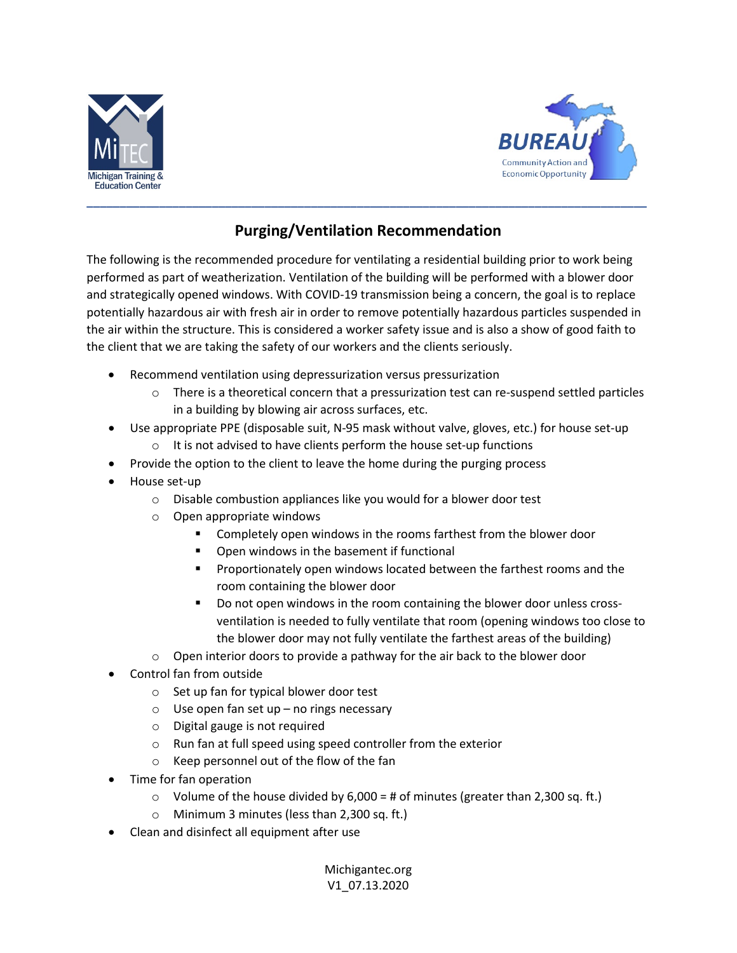



## **Purging/Ventilation Recommendation**

The following is the recommended procedure for ventilating a residential building prior to work being performed as part of weatherization. Ventilation of the building will be performed with a blower door and strategically opened windows. With COVID-19 transmission being a concern, the goal is to replace potentially hazardous air with fresh air in order to remove potentially hazardous particles suspended in the air within the structure. This is considered a worker safety issue and is also a show of good faith to the client that we are taking the safety of our workers and the clients seriously.

- Recommend ventilation using depressurization versus pressurization
	- $\circ$  There is a theoretical concern that a pressurization test can re-suspend settled particles in a building by blowing air across surfaces, etc.
- Use appropriate PPE (disposable suit, N-95 mask without valve, gloves, etc.) for house set-up
	- $\circ$  It is not advised to have clients perform the house set-up functions
- Provide the option to the client to leave the home during the purging process
- House set-up
	- o Disable combustion appliances like you would for a blower door test
	- o Open appropriate windows
		- Completely open windows in the rooms farthest from the blower door
		- **•** Open windows in the basement if functional
		- **Proportionately open windows located between the farthest rooms and the** room containing the blower door
		- Do not open windows in the room containing the blower door unless crossventilation is needed to fully ventilate that room (opening windows too close to the blower door may not fully ventilate the farthest areas of the building)
	- o Open interior doors to provide a pathway for the air back to the blower door
- Control fan from outside
	- o Set up fan for typical blower door test
	- $\circ$  Use open fan set up no rings necessary
	- o Digital gauge is not required
	- o Run fan at full speed using speed controller from the exterior
	- o Keep personnel out of the flow of the fan
- Time for fan operation
	- $\circ$  Volume of the house divided by 6,000 = # of minutes (greater than 2,300 sq. ft.)
	- o Minimum 3 minutes (less than 2,300 sq. ft.)
- Clean and disinfect all equipment after use

Michigantec.org V1\_07.13.2020